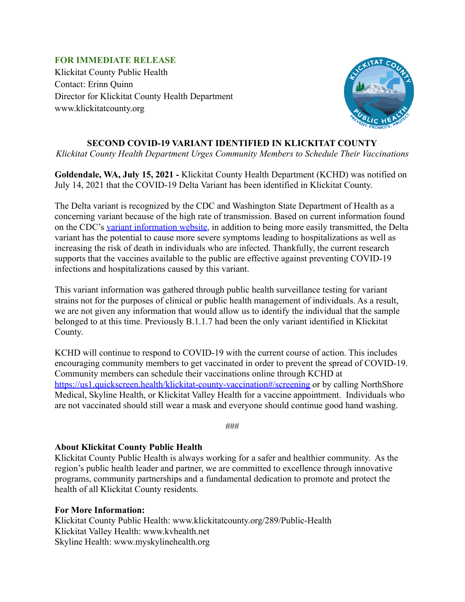## **FOR IMMEDIATE RELEASE**

Klickitat County Public Health Contact: Erinn Quinn Director for Klickitat County Health Department www.klickitatcounty.org



## **SECOND COVID-19 VARIANT IDENTIFIED IN KLICKITAT COUNTY**

*Klickitat County Health Department Urges Community Members to Schedule Their Vaccinations*

**Goldendale, WA, July 15, 2021 -** Klickitat County Health Department (KCHD) was notified on July 14, 2021 that the COVID-19 Delta Variant has been identified in Klickitat County.

The Delta variant is recognized by the CDC and Washington State Department of Health as a concerning variant because of the high rate of transmission. Based on current information found on the CDC's [variant information website,](https://www.cdc.gov/coronavirus/2019-ncov/variants/variant-info.html#Concern) in addition to being more easily transmitted, the Delta variant has the potential to cause more severe symptoms leading to hospitalizations as well as increasing the risk of death in individuals who are infected. Thankfully, the current research supports that the vaccines available to the public are effective against preventing COVID-19 infections and hospitalizations caused by this variant.

This variant information was gathered through public health surveillance testing for variant strains not for the purposes of clinical or public health management of individuals. As a result, we are not given any information that would allow us to identify the individual that the sample belonged to at this time. Previously B.1.1.7 had been the only variant identified in Klickitat County.

KCHD will continue to respond to COVID-19 with the current course of action. This includes encouraging community members to get vaccinated in order to prevent the spread of COVID-19. Community members can schedule their vaccinations online through KCHD at <https://us1.quickscreen.health/klickitat-county-vaccination#/screening> or by calling NorthShore Medical, Skyline Health, or Klickitat Valley Health for a vaccine appointment. Individuals who are not vaccinated should still wear a mask and everyone should continue good hand washing.

###

## **About Klickitat County Public Health**

Klickitat County Public Health is always working for a safer and healthier community. As the region's public health leader and partner, we are committed to excellence through innovative programs, community partnerships and a fundamental dedication to promote and protect the health of all Klickitat County residents.

## **For More Information:**

Klickitat County Public Health: www.klickitatcounty.org/289/Public-Health Klickitat Valley Health: www.kvhealth.net Skyline Health: www.myskylinehealth.org